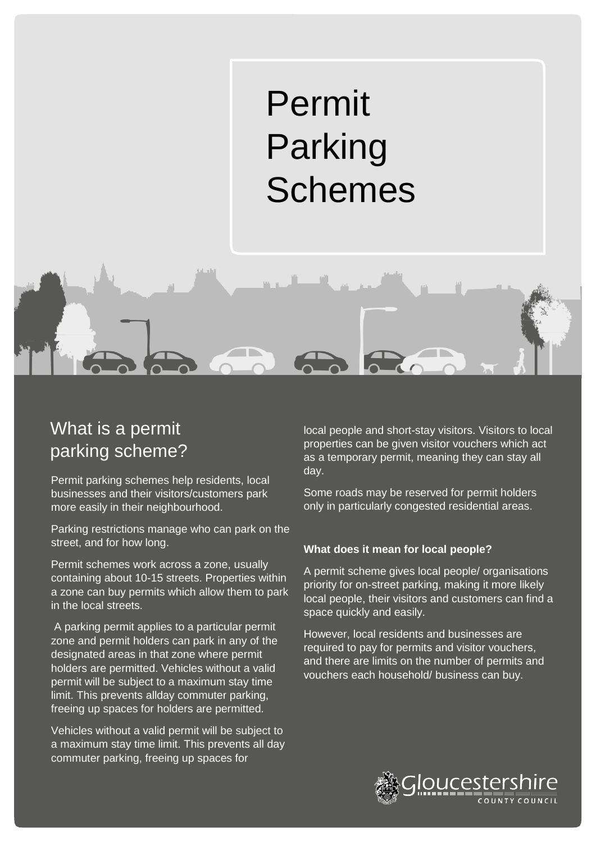# Permit Parking Schemes

# What is a permit parking scheme?

Permit parking schemes help residents, local businesses and their visitors/customers park more easily in their neighbourhood.

Parking restrictions manage who can park on the street, and for how long.

Permit schemes work across a zone, usually containing about 10-15 streets. Properties within a zone can buy permits which allow them to park in the local streets.

A parking permit applies to a particular permit zone and permit holders can park in any of the designated areas in that zone where permit holders are permitted. Vehicles without a valid permit will be subject to a maximum stay time limit. This prevents allday commuter parking, freeing up spaces for holders are permitted.

Vehicles without a valid permit will be subject to a maximum stay time limit. This prevents all day commuter parking, freeing up spaces for

local people and short-stay visitors. Visitors to local properties can be given visitor vouchers which act as a temporary permit, meaning they can stay all day.

Some roads may be reserved for permit holders only in particularly congested residential areas.

### **What does it mean for local people?**

A permit scheme gives local people/ organisations priority for on-street parking, making it more likely local people, their visitors and customers can find a space quickly and easily.

However, local residents and businesses are required to pay for permits and visitor vouchers, and there are limits on the number of permits and vouchers each household/ business can buy.

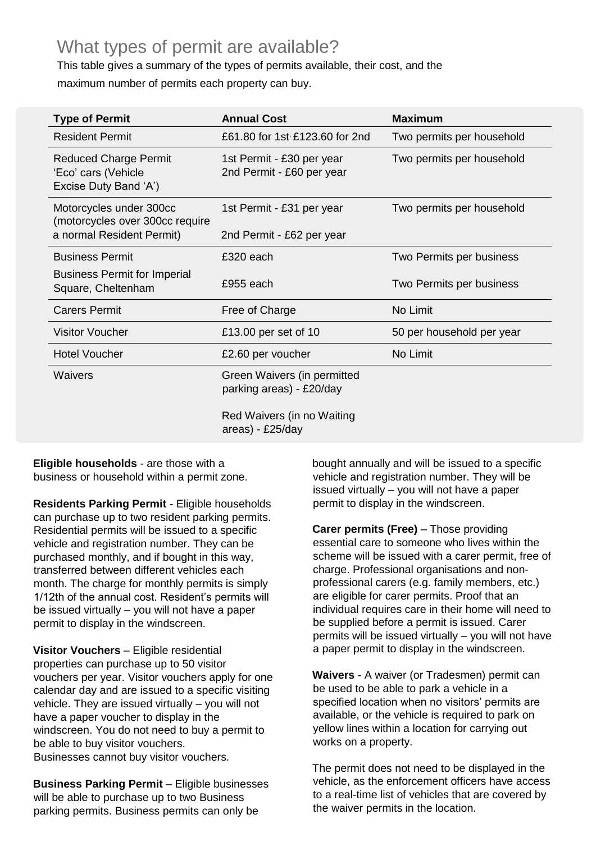### What types of permit are available?

This table gives a summary of the types of permits available, their cost, and the maximum number of permits each property can buy.

| <b>Type of Permit</b>                                                                   | <b>Annual Cost</b>                                      | <b>Maximum</b>            |
|-----------------------------------------------------------------------------------------|---------------------------------------------------------|---------------------------|
| <b>Resident Permit</b>                                                                  | £61.80 for 1st £123.60 for 2nd                          | Two permits per household |
| <b>Reduced Charge Permit</b><br>'Eco' cars (Vehicle<br>Excise Duty Band 'A')            | 1st Permit - £30 per year<br>2nd Permit - £60 per year  | Two permits per household |
| Motorcycles under 300cc<br>(motorcycles over 300cc require<br>a normal Resident Permit) | 1st Permit - £31 per year<br>2nd Permit - £62 per year  | Two permits per household |
| <b>Business Permit</b>                                                                  | £320 each                                               | Two Permits per business  |
| <b>Business Permit for Imperial</b><br>Square, Cheltenham                               | £955 each                                               | Two Permits per business  |
| <b>Carers Permit</b>                                                                    | Free of Charge                                          | No Limit                  |
| <b>Visitor Voucher</b>                                                                  | £13.00 per set of 10                                    | 50 per household per year |
| <b>Hotel Voucher</b>                                                                    | £2.60 per voucher                                       | No Limit                  |
| <b>Waivers</b>                                                                          | Green Waivers (in permitted<br>parking areas) - £20/day |                           |
|                                                                                         | Red Waivers (in no Waiting<br>areas) - £25/day          |                           |

### **Eligible households** - are those with a business or household within a permit zone.

**Residents Parking Permit** - Eligible households can purchase up to two resident parking permits. Residential permits will be issued to a specific vehicle and registration number. They can be purchased monthly, and if bought in this way, transferred between different vehicles each month. The charge for monthly permits is simply 1/12th of the annual cost. Resident's permits will be issued virtually – you will not have a paper permit to display in the windscreen.

**Visitor Vouchers** – Eligible residential properties can purchase up to 50 visitor vouchers per year. Visitor vouchers apply for one calendar day and are issued to a specific visiting vehicle. They are issued virtually – you will not have a paper voucher to display in the windscreen. You do not need to buy a permit to be able to buy visitor vouchers. Businesses cannot buy visitor vouchers.

**Business Parking Permit** - Eligible businesses will be able to purchase up to two Business parking permits. Business permits can only be

bought annually and will be issued to a specific vehicle and registration number. They will be issued virtually – you will not have a paper permit to display in the windscreen.

**Carer permits (Free)** – Those providing essential care to someone who lives within the scheme will be issued with a carer permit, free of charge. Professional organisations and nonprofessional carers (e.g. family members, etc.) are eligible for carer permits. Proof that an individual requires care in their home will need to be supplied before a permit is issued. Carer permits will be issued virtually – you will not have a paper permit to display in the windscreen.

**Waivers** - A waiver (or Tradesmen) permit can be used to be able to park a vehicle in a specified location when no visitors' permits are available, or the vehicle is required to park on yellow lines within a location for carrying out works on a property.

The permit does not need to be displayed in the vehicle, as the enforcement officers have access to a real-time list of vehicles that are covered by the waiver permits in the location.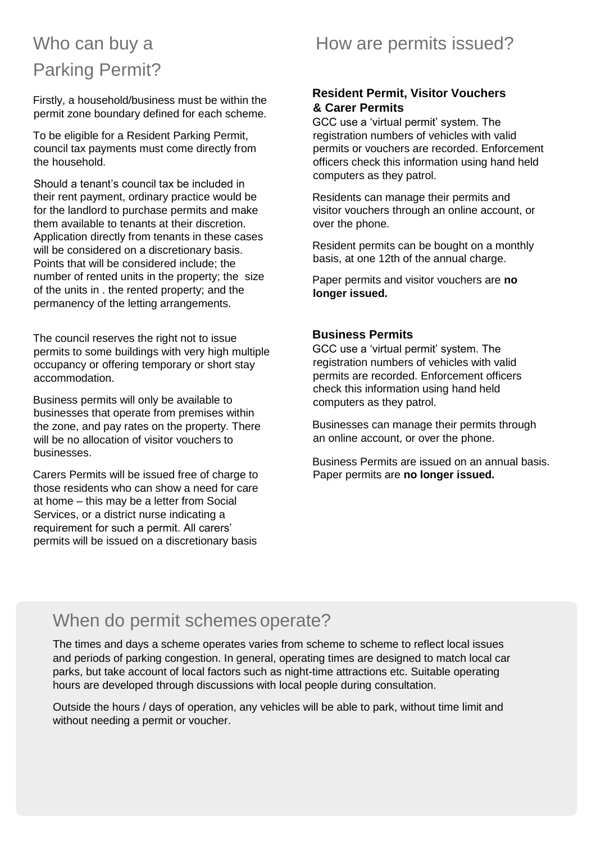# Who can buy a Parking Permit?

Firstly, a household/business must be within the permit zone boundary defined for each scheme.

To be eligible for a Resident Parking Permit, council tax payments must come directly from the household.

Should a tenant's council tax be included in their rent payment, ordinary practice would be for the landlord to purchase permits and make them available to tenants at their discretion. Application directly from tenants in these cases will be considered on a discretionary basis. Points that will be considered include; the number of rented units in the property; the size of the units in . the rented property; and the permanency of the letting arrangements.

The council reserves the right not to issue permits to some buildings with very high multiple occupancy or offering temporary or short stay accommodation.

Business permits will only be available to businesses that operate from premises within the zone, and pay rates on the property. There will be no allocation of visitor vouchers to businesses.

Carers Permits will be issued free of charge to those residents who can show a need for care at home – this may be a letter from Social Services, or a district nurse indicating a requirement for such a permit. All carers' permits will be issued on a discretionary basis

### How are permits issued?

### **Resident Permit, Visitor Vouchers & Carer Permits**

GCC use a 'virtual permit' system. The registration numbers of vehicles with valid permits or vouchers are recorded. Enforcement officers check this information using hand held computers as they patrol.

Residents can manage their permits and visitor vouchers through an online account, or over the phone.

Resident permits can be bought on a monthly basis, at one 12th of the annual charge.

Paper permits and visitor vouchers are **no longer issued.**

### **Business Permits**

GCC use a 'virtual permit' system. The registration numbers of vehicles with valid permits are recorded. Enforcement officers check this information using hand held computers as they patrol.

Businesses can manage their permits through an online account, or over the phone.

Business Permits are issued on an annual basis. Paper permits are **no longer issued.**

# When do permit schemes operate?

The times and days a scheme operates varies from scheme to scheme to reflect local issues and periods of parking congestion. In general, operating times are designed to match local car parks, but take account of local factors such as night-time attractions etc. Suitable operating hours are developed through discussions with local people during consultation.

Outside the hours / days of operation, any vehicles will be able to park, without time limit and without needing a permit or voucher.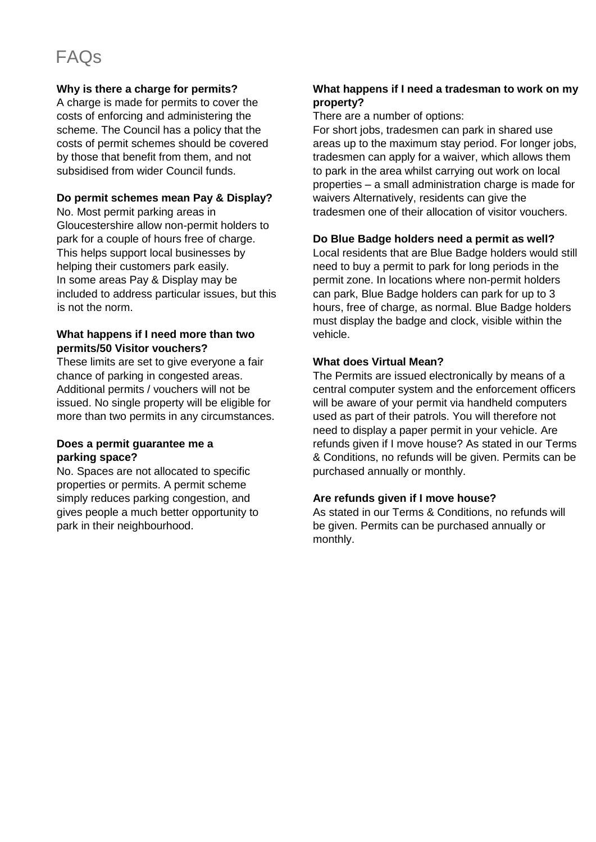# FAQs

### **Why is there a charge for permits?**

A charge is made for permits to cover the costs of enforcing and administering the scheme. The Council has a policy that the costs of permit schemes should be covered by those that benefit from them, and not subsidised from wider Council funds.

### **Do permit schemes mean Pay & Display?**

No. Most permit parking areas in Gloucestershire allow non-permit holders to park for a couple of hours free of charge. This helps support local businesses by helping their customers park easily. In some areas Pay & Display may be included to address particular issues, but this is not the norm.

### **What happens if I need more than two permits/50 Visitor vouchers?**

These limits are set to give everyone a fair chance of parking in congested areas. Additional permits / vouchers will not be issued. No single property will be eligible for more than two permits in any circumstances.

### **Does a permit guarantee me a parking space?**

No. Spaces are not allocated to specific properties or permits. A permit scheme simply reduces parking congestion, and gives people a much better opportunity to park in their neighbourhood.

### **What happens if I need a tradesman to work on my property?**

There are a number of options:

For short jobs, tradesmen can park in shared use areas up to the maximum stay period. For longer jobs, tradesmen can apply for a waiver, which allows them to park in the area whilst carrying out work on local properties – a small administration charge is made for waivers Alternatively, residents can give the tradesmen one of their allocation of visitor vouchers.

### **Do Blue Badge holders need a permit as well?**

Local residents that are Blue Badge holders would still need to buy a permit to park for long periods in the permit zone. In locations where non-permit holders can park, Blue Badge holders can park for up to 3 hours, free of charge, as normal. Blue Badge holders must display the badge and clock, visible within the vehicle.

### **What does Virtual Mean?**

The Permits are issued electronically by means of a central computer system and the enforcement officers will be aware of your permit via handheld computers used as part of their patrols. You will therefore not need to display a paper permit in your vehicle. Are refunds given if I move house? As stated in our Terms & Conditions, no refunds will be given. Permits can be purchased annually or monthly.

### **Are refunds given if I move house?**

As stated in our Terms & Conditions, no refunds will be given. Permits can be purchased annually or monthly.